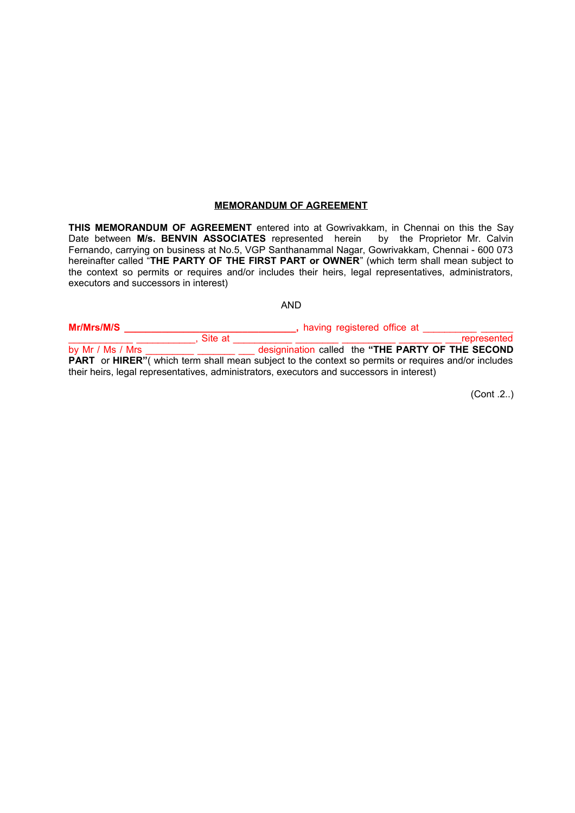#### **MEMORANDUM OF AGREEMENT**

**THIS MEMORANDUM OF AGREEMENT** entered into at Gowrivakkam, in Chennai on this the Say Date between **M/s. BENVIN ASSOCIATES** represented herein by the Proprietor Mr. Calvin Fernando, carrying on business at No.5, VGP Santhanammal Nagar, Gowrivakkam, Chennai - 600 073 hereinafter called "**THE PARTY OF THE FIRST PART or OWNER**" (which term shall mean subject to the context so permits or requires and/or includes their heirs, legal representatives, administrators, executors and successors in interest)

# AND

| Mr/Mrs/M/S                                                                                |                                                                                                                    | having registered office at |  |  |                                                   |
|-------------------------------------------------------------------------------------------|--------------------------------------------------------------------------------------------------------------------|-----------------------------|--|--|---------------------------------------------------|
|                                                                                           | Site at                                                                                                            |                             |  |  | represented                                       |
| by Mr / Ms / Mrs                                                                          |                                                                                                                    |                             |  |  | designination called the "THE PARTY OF THE SECOND |
|                                                                                           | <b>PART</b> or <b>HIRER</b> " (which term shall mean subject to the context so permits or requires and/or includes |                             |  |  |                                                   |
| their heirs, legal representatives, administrators, executors and successors in interest) |                                                                                                                    |                             |  |  |                                                   |

(Cont .2..)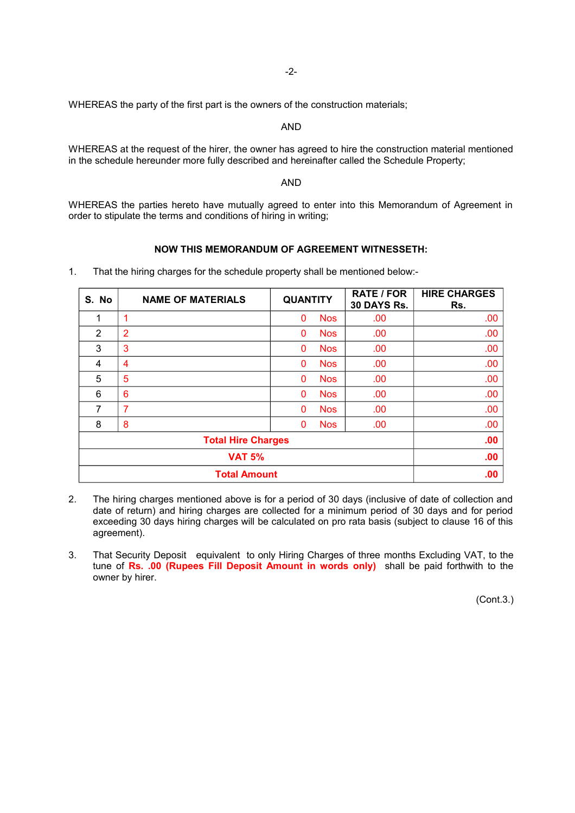-2-

WHEREAS the party of the first part is the owners of the construction materials;

AND

WHEREAS at the request of the hirer, the owner has agreed to hire the construction material mentioned in the schedule hereunder more fully described and hereinafter called the Schedule Property;

#### AND

WHEREAS the parties hereto have mutually agreed to enter into this Memorandum of Agreement in order to stipulate the terms and conditions of hiring in writing;

# **NOW THIS MEMORANDUM OF AGREEMENT WITNESSETH:**

| S. No                     | <b>NAME OF MATERIALS</b> | <b>QUANTITY</b> |            | <b>RATE / FOR</b><br>30 DAYS Rs. | <b>HIRE CHARGES</b><br>Rs. |
|---------------------------|--------------------------|-----------------|------------|----------------------------------|----------------------------|
| 1                         | 1                        | $\mathbf{0}$    | <b>Nos</b> | .00                              | .00                        |
| 2                         | $\overline{2}$           | $\Omega$        | <b>Nos</b> | .00                              | .00                        |
| 3                         | 3                        | $\mathbf{0}$    | <b>Nos</b> | .00                              | .00                        |
| 4                         | $\overline{4}$           | $\mathbf{0}$    | <b>Nos</b> | .00                              | .00                        |
| 5                         | 5                        | 0               | <b>Nos</b> | .00                              | .00                        |
| 6                         | 6                        | 0               | <b>Nos</b> | .00                              | .00                        |
| 7                         | 7                        | $\Omega$        | <b>Nos</b> | .00                              | .00                        |
| 8                         | 8                        | 0               | <b>Nos</b> | .00                              | .00                        |
| <b>Total Hire Charges</b> |                          |                 |            |                                  | .00                        |
| <b>VAT 5%</b>             |                          |                 |            | .00                              |                            |
| <b>Total Amount</b>       |                          |                 |            | .00                              |                            |

1. That the hiring charges for the schedule property shall be mentioned below:-

- 2. The hiring charges mentioned above is for a period of 30 days (inclusive of date of collection and date of return) and hiring charges are collected for a minimum period of 30 days and for period exceeding 30 days hiring charges will be calculated on pro rata basis (subject to clause 16 of this agreement).
- 3. That Security Deposit equivalent to only Hiring Charges of three months Excluding VAT, to the tune of **Rs. .00 (Rupees Fill Deposit Amount in words only)** shall be paid forthwith to the owner by hirer.

(Cont.3.)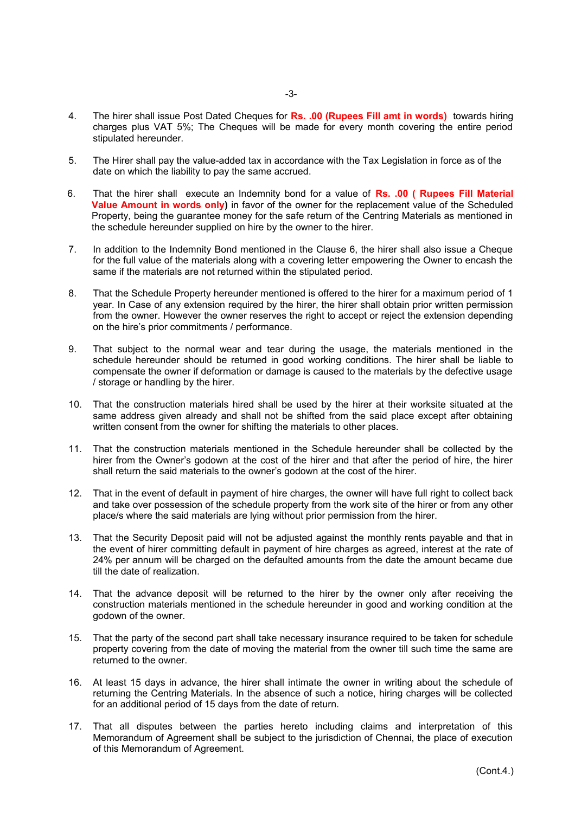- 4. The hirer shall issue Post Dated Cheques for **Rs. .00 (Rupees Fill amt in words)** towards hiring charges plus VAT 5%; The Cheques will be made for every month covering the entire period stipulated hereunder.
- 5. The Hirer shall pay the value-added tax in accordance with the Tax Legislation in force as of the date on which the liability to pay the same accrued.
- 6. That the hirer shall execute an Indemnity bond for a value of **Rs. .00 ( Rupees Fill Material Value Amount in words only)** in favor of the owner for the replacement value of the Scheduled Property, being the guarantee money for the safe return of the Centring Materials as mentioned in the schedule hereunder supplied on hire by the owner to the hirer.
- 7. In addition to the Indemnity Bond mentioned in the Clause 6, the hirer shall also issue a Cheque for the full value of the materials along with a covering letter empowering the Owner to encash the same if the materials are not returned within the stipulated period.
- 8. That the Schedule Property hereunder mentioned is offered to the hirer for a maximum period of 1 year. In Case of any extension required by the hirer, the hirer shall obtain prior written permission from the owner. However the owner reserves the right to accept or reject the extension depending on the hire's prior commitments / performance.
- 9. That subject to the normal wear and tear during the usage, the materials mentioned in the schedule hereunder should be returned in good working conditions. The hirer shall be liable to compensate the owner if deformation or damage is caused to the materials by the defective usage / storage or handling by the hirer.
- 10. That the construction materials hired shall be used by the hirer at their worksite situated at the same address given already and shall not be shifted from the said place except after obtaining written consent from the owner for shifting the materials to other places.
- 11. That the construction materials mentioned in the Schedule hereunder shall be collected by the hirer from the Owner's godown at the cost of the hirer and that after the period of hire, the hirer shall return the said materials to the owner's godown at the cost of the hirer.
- 12. That in the event of default in payment of hire charges, the owner will have full right to collect back and take over possession of the schedule property from the work site of the hirer or from any other place/s where the said materials are lying without prior permission from the hirer.
- 13. That the Security Deposit paid will not be adjusted against the monthly rents payable and that in the event of hirer committing default in payment of hire charges as agreed, interest at the rate of 24% per annum will be charged on the defaulted amounts from the date the amount became due till the date of realization.
- 14. That the advance deposit will be returned to the hirer by the owner only after receiving the construction materials mentioned in the schedule hereunder in good and working condition at the godown of the owner.
- 15. That the party of the second part shall take necessary insurance required to be taken for schedule property covering from the date of moving the material from the owner till such time the same are returned to the owner.
- 16. At least 15 days in advance, the hirer shall intimate the owner in writing about the schedule of returning the Centring Materials. In the absence of such a notice, hiring charges will be collected for an additional period of 15 days from the date of return.
- 17. That all disputes between the parties hereto including claims and interpretation of this Memorandum of Agreement shall be subject to the jurisdiction of Chennai, the place of execution of this Memorandum of Agreement.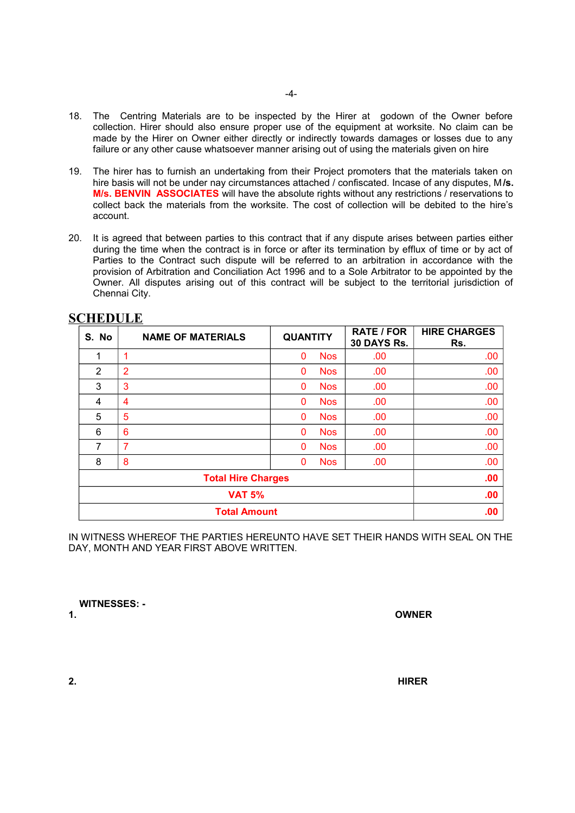- 18. The Centring Materials are to be inspected by the Hirer at godown of the Owner before collection. Hirer should also ensure proper use of the equipment at worksite. No claim can be made by the Hirer on Owner either directly or indirectly towards damages or losses due to any failure or any other cause whatsoever manner arising out of using the materials given on hire
- 19. The hirer has to furnish an undertaking from their Project promoters that the materials taken on hire basis will not be under nay circumstances attached / confiscated. Incase of any disputes, M**/s. M/s. BENVIN ASSOCIATES** will have the absolute rights without any restrictions / reservations to collect back the materials from the worksite. The cost of collection will be debited to the hire's account.
- 20. It is agreed that between parties to this contract that if any dispute arises between parties either during the time when the contract is in force or after its termination by efflux of time or by act of Parties to the Contract such dispute will be referred to an arbitration in accordance with the provision of Arbitration and Conciliation Act 1996 and to a Sole Arbitrator to be appointed by the Owner. All disputes arising out of this contract will be subject to the territorial jurisdiction of Chennai City.

| S. No                     | <b>NAME OF MATERIALS</b> | <b>QUANTITY</b> |            | <b>RATE / FOR</b><br>30 DAYS Rs. | <b>HIRE CHARGES</b><br>Rs. |
|---------------------------|--------------------------|-----------------|------------|----------------------------------|----------------------------|
| 1                         | 1                        | 0               | <b>Nos</b> | .00                              | .00                        |
| 2                         | $\overline{2}$           | 0               | <b>Nos</b> | .00                              | .00                        |
| 3                         | 3                        | $\mathbf{0}$    | <b>Nos</b> | .00                              | .00                        |
| 4                         | 4                        | $\mathbf{0}$    | <b>Nos</b> | .00                              | .00                        |
| 5                         | 5                        | $\mathbf{0}$    | <b>Nos</b> | .00                              | .00                        |
| 6                         | 6                        | $\mathbf{0}$    | <b>Nos</b> | .00                              | .00                        |
| 7                         | 7                        | $\mathbf{0}$    | <b>Nos</b> | .00                              | .00                        |
| 8                         | 8                        | $\mathbf{0}$    | <b>Nos</b> | .00                              | .00                        |
| <b>Total Hire Charges</b> |                          |                 |            |                                  | .00                        |
| <b>VAT 5%</b>             |                          |                 |            |                                  | .00                        |
| <b>Total Amount</b>       |                          |                 |            |                                  | .00                        |

# **SCHEDULE**

IN WITNESS WHEREOF THE PARTIES HEREUNTO HAVE SET THEIR HANDS WITH SEAL ON THE DAY, MONTH AND YEAR FIRST ABOVE WRITTEN.

**WITNESSES: -**

**1. OWNER**

**2. HIRER**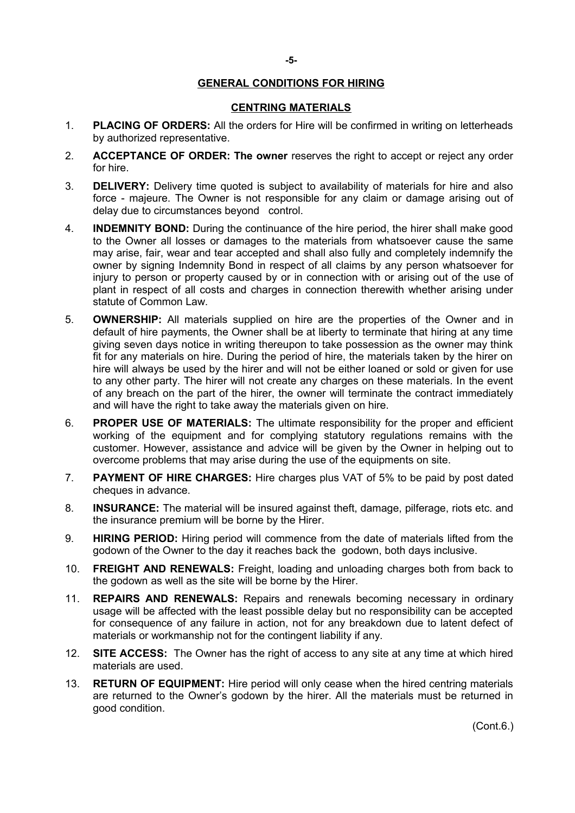#### **-5-**

# **GENERAL CONDITIONS FOR HIRING**

# **CENTRING MATERIALS**

- 1. **PLACING OF ORDERS:** All the orders for Hire will be confirmed in writing on letterheads by authorized representative.
- 2. **ACCEPTANCE OF ORDER: The owner** reserves the right to accept or reject any order for hire.
- 3. **DELIVERY:** Delivery time quoted is subject to availability of materials for hire and also force - majeure. The Owner is not responsible for any claim or damage arising out of delay due to circumstances beyond control.
- 4. **INDEMNITY BOND:** During the continuance of the hire period, the hirer shall make good to the Owner all losses or damages to the materials from whatsoever cause the same may arise, fair, wear and tear accepted and shall also fully and completely indemnify the owner by signing Indemnity Bond in respect of all claims by any person whatsoever for injury to person or property caused by or in connection with or arising out of the use of plant in respect of all costs and charges in connection therewith whether arising under statute of Common Law.
- 5. **OWNERSHIP:** All materials supplied on hire are the properties of the Owner and in default of hire payments, the Owner shall be at liberty to terminate that hiring at any time giving seven days notice in writing thereupon to take possession as the owner may think fit for any materials on hire. During the period of hire, the materials taken by the hirer on hire will always be used by the hirer and will not be either loaned or sold or given for use to any other party. The hirer will not create any charges on these materials. In the event of any breach on the part of the hirer, the owner will terminate the contract immediately and will have the right to take away the materials given on hire.
- 6. **PROPER USE OF MATERIALS:** The ultimate responsibility for the proper and efficient working of the equipment and for complying statutory regulations remains with the customer. However, assistance and advice will be given by the Owner in helping out to overcome problems that may arise during the use of the equipments on site.
- 7. **PAYMENT OF HIRE CHARGES:** Hire charges plus VAT of 5% to be paid by post dated cheques in advance.
- 8. **INSURANCE:** The material will be insured against theft, damage, pilferage, riots etc. and the insurance premium will be borne by the Hirer.
- 9. **HIRING PERIOD:** Hiring period will commence from the date of materials lifted from the godown of the Owner to the day it reaches back the godown, both days inclusive.
- 10. **FREIGHT AND RENEWALS:** Freight, loading and unloading charges both from back to the godown as well as the site will be borne by the Hirer.
- 11. **REPAIRS AND RENEWALS:** Repairs and renewals becoming necessary in ordinary usage will be affected with the least possible delay but no responsibility can be accepted for consequence of any failure in action, not for any breakdown due to latent defect of materials or workmanship not for the contingent liability if any.
- 12. **SITE ACCESS:** The Owner has the right of access to any site at any time at which hired materials are used.
- 13. **RETURN OF EQUIPMENT:** Hire period will only cease when the hired centring materials are returned to the Owner's godown by the hirer. All the materials must be returned in good condition.

(Cont.6.)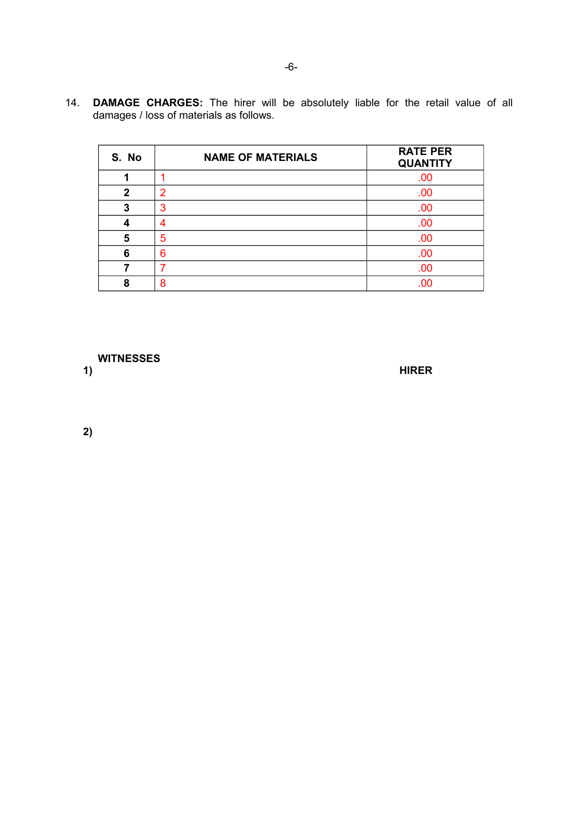14. **DAMAGE CHARGES:** The hirer will be absolutely liable for the retail value of all damages / loss of materials as follows.

| S. No       | <b>NAME OF MATERIALS</b> | <b>RATE PER</b><br><b>QUANTITY</b> |  |  |
|-------------|--------------------------|------------------------------------|--|--|
|             |                          | .00                                |  |  |
| $\mathbf 2$ | 2                        | .00                                |  |  |
| 3           | 3                        | .00                                |  |  |
|             | Λ                        | .00                                |  |  |
| 5           | 5                        | .00                                |  |  |
| 6           | 6                        | .00                                |  |  |
|             | 7                        | .00                                |  |  |
| я           | 8                        |                                    |  |  |

 **WITNESSES**

**1) HIRER**

**2)**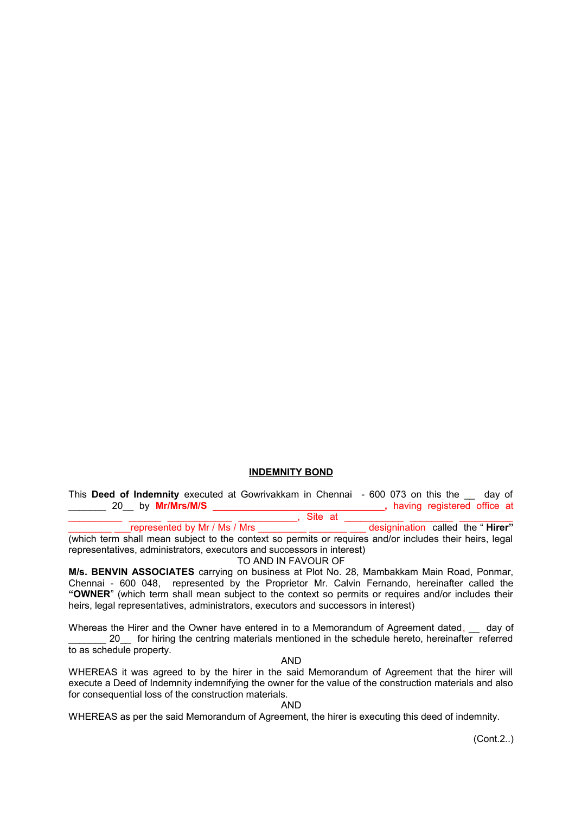# **INDEMNITY BOND**

This **Deed of Indemnity** executed at Gowrivakkam in Chennai - 600 073 on this the \_\_ day of **\_\_\_\_**, having registered office at

\_\_\_\_\_\_\_\_\_\_ \_\_\_\_\_\_ \_\_\_\_\_\_\_\_\_\_\_\_ \_\_\_\_\_\_\_\_\_\_\_, Site at \_\_\_\_\_\_\_\_\_\_\_ \_\_\_\_\_\_\_\_ \_\_\_\_\_\_\_\_\_\_ \_\_\_\_\_\_\_\_ \_\_\_represented by Mr / Ms / Mrs \_\_\_\_\_\_\_\_\_ \_\_\_\_\_\_\_ \_\_\_ designination calledthe " **Hirer"** (which term shall mean subject to the context so permits or requires and/or includes their heirs, legal representatives, administrators, executors and successors in interest)

TO AND IN FAVOUR OF

**M/s. BENVIN ASSOCIATES** carrying on business at Plot No. 28, Mambakkam Main Road, Ponmar, Chennai - 600 048, represented by the Proprietor Mr. Calvin Fernando, hereinafter called the **"OWNER**" (which term shall mean subject to the context so permits or requires and/or includes their heirs, legal representatives, administrators, executors and successors in interest)

Whereas the Hirer and the Owner have entered in to a Memorandum of Agreement dated,  $\quad$  day of 20 for hiring the centring materials mentioned in the schedule hereto, hereinafter referred to as schedule property.

AND

WHEREAS it was agreed to by the hirer in the said Memorandum of Agreement that the hirer will execute a Deed of Indemnity indemnifying the owner for the value of the construction materials and also for consequential loss of the construction materials.

AND

WHEREAS as per the said Memorandum of Agreement, the hirer is executing this deed of indemnity.